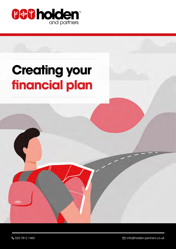

# **Creating your financial plan**

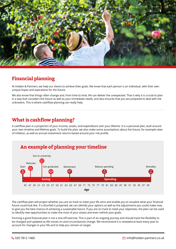

## **Financial planning**

At Holden & Partners, we help our clients to achieve their goals. We know that each person is an individual, with their own unique hopes and aspirations for the future.

We also know that things often change and, from time to time, life can deliver the unexpected. That is why it is crucial to plan in a way that considers the future as well as your immediate needs, and also ensures that you are prepared to deal with the unknowns. This is where cashflow planning can really help.

## **What is cashflow planning?**

A cashflow plan is a projection of your income, assets, and expenditure over your lifetime. It is a personal plan, built around your own timeline and lifetime goals. To build the plan, we also make some assumptions about the future, for example rates of inflation, as well as annual investment returns based around your risk profile.



The cashflow plan will project whether you are on track to meet your life aims and enable you to visualise what your financial future could look like. If a shortfall is projected, we can identify your options as well as the adjustments you could make now, to give you the best chance of achieving a sustainable future. If you are on track to meet your objectives, the plan can be used to identify new opportunities to make the most of your assets and even rethink your goals.

Forming a good financial plan is not a one-off exercise. This is part of an ongoing journey and should have the flexibility to be changed and updated as life moves on and circumstances change. We recommend it is reviewed at least every year to account for changes in your life and to help you remain on target.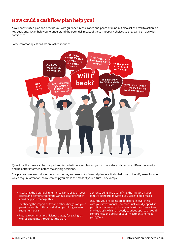## **How could a cashflow plan help you?**

A well-constructed plan can provide you with guidance, reassurance and peace of mind but also act as a 'call to action' on key decisions. It can help you to understand the potential impact of these important choices so they can be made with confidence.

Some common questions we are asked include:



Questions like these can be mapped and tested within your plan, so you can consider and compare different scenarios and be better informed before making big decisions.

The plan centres around your personal journey and needs. As financial planners, it also helps us to identify areas for you which require attention, so we can help you make the most of your future. For example:

- Assessing the potential Inheritance Tax liability on your estate and demonstrating the various solutions which could help you manage this.
- Identifying the impact of tax and other charges on your pensions and how this could affect your longer-term retirement plans.
- Putting together a tax-efficient strategy for saving, as well as spending, throughout the plan.
- Demonstrating and quantifying the impact on your family's standard of living if you were to die or fall ill.
- Ensuring you are taking an appropriate level of risk with your investments. Too much risk could jeopardise your financial security, for example with exposure to a market crash, whilst an overly cautious approach could compromise the ability of your investments to meet your goals.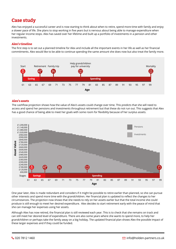#### **Case study**

Alex has enjoyed a successful career and is now starting to think about when to retire, spend more time with family and enjoy a slower pace of life. She plans to stop working in five years but is nervous about being able to manage expenditure when her regular income stops. Alex has saved over her lifetime and built up a portfolio of investments in a pension and other investments.

#### **Alex's timeline**

The first step is to set out a planned timeline for Alex and include all the important events in her life as well as her financial commitments. Alex would like to be able to continue spending the same amount she does now but also treat the family more.



#### **Alex's assets**

The cashflow projection shows how the value of Alex's assets could change over time. This predicts that she will need to access and spend her pensions and investments throughout retirement but that these do not run out. This suggests that Alex has a good chance of being able to meet her goals with some room for flexibility because of her surplus assets.



One year later, Alex is made redundant and considers if it might be possible to retire earlier than planned, so she can pursue other interests and spend more time with the grandchildren. Her financial plan is updated to reflect the changes to her circumstances. The projection now shows that she needs to rely on her assets earlier but that the total income she could produce is still enough to meet her desired expenditure. Alex decides to start retirement early with the peace of mind that she can manage her expenses using her assets.

Although Alex has now retired, the financial plan is still reviewed each year. This is to check that she remains on track and can still meet her desired level of expenditure. There are also some years where she wants to spend more, to help her grandchildren or perhaps take the family away on a big holiday. The updated financial plan shows Alex the possible impact of these larger expenses and if they could be funded.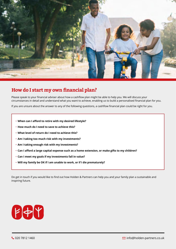

#### **How do I start my own financial plan?**

Please speak to your financial adviser about how a cashflow plan might be able to help you. We will discuss your circumstances in detail and understand what you want to achieve, enabling us to build a personalised financial plan for you.

If you are unsure about the answer to any of the following questions, a cashflow financial plan could be right for you.

- **When can I afford to retire with my desired lifestyle?**
- **How much do I need to save to achieve this?**
- **What level of return do I need to achieve this?**
- **Am I taking too much risk with my investments?**
- **Am I taking enough risk with my investments?**
- **Can I afford a large capital expense such as a home extension, or make gifts to my children?**
- **Can I meet my goals if my investments fall in value?**
- **Will my family be OK if I am unable to work, or if I die prematurely?**

Do get in touch if you would like to find out how Holden & Partners can help you and your family plan a sustainable and inspiring future.